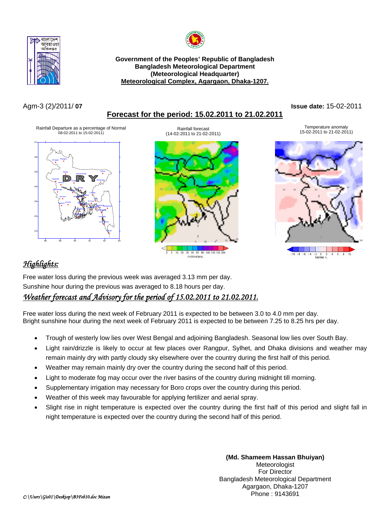



**Government of the Peoples' Republic of Bangladesh Bangladesh Meteorological Department (Meteorological Headquarter)**  <sup>U</sup>**Meteorological Complex, Agargaon, Dhaka-1207.**

## Agm-3 (2)/2011/ **07 Issue date:** 15-02-2011

## <sup>U</sup>**Forecast for the period: 15.02.2011 to 21.02.2011**

Rainfall Departure as a percentage of Normal 08-02-2011 to 15-02-2011)



(14-02-2011 to 21-02-2011)

# 35 50 65 80 100 125 150 200  $10 - 20$ millimeters

Temperature anomaly Rainfall forecast<br>15-02-2011 to 21-02-2011 10 21-02-2011 to 21-02-2011 to 21-02-2011 to 21-02-2011



# <sup>U</sup>*Highlights:*

Free water loss during the previous week was averaged 3.13 mm per day. Sunshine hour during the previous was averaged to 8.18 hours per day.

## <sup>U</sup>*Weather forecast and Advisory for the period of 15.02.2011 to 21.02.2011.*

Free water loss during the next week of February 2011 is expected to be between 3.0 to 4.0 mm per day. Bright sunshine hour during the next week of February 2011 is expected to be between 7.25 to 8.25 hrs per day.

- Trough of westerly low lies over West Bengal and adjoining Bangladesh. Seasonal low lies over South Bay.
- Light rain/drizzle is likely to occur at few places over Rangpur, Sylhet, and Dhaka divisions and weather may remain mainly dry with partly cloudy sky elsewhere over the country during the first half of this period.
- Weather may remain mainly dry over the country during the second half of this period.
- Light to moderate fog may occur over the river basins of the country during midnight till morning.
- Supplementary irrigation may necessary for Boro crops over the country during this period.
- Weather of this week may favourable for applying fertilizer and aerial spray.
- Slight rise in night temperature is expected over the country during the first half of this period and slight fall in night temperature is expected over the country during the second half of this period.

**(Md. Shameem Hassan Bhuiyan)**  Meteorologist For Director Bangladesh Meteorological Department Agargaon, Dhaka-1207 Phone : 9143691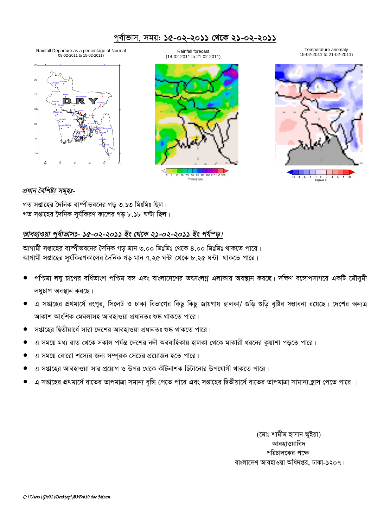### পূর্বাভাস, সময়: ১৫-০২-২০১১ থেকে ২১-০২-২০১১

Rainfall Departure as a percentage of Normal<br>08-02-2011 to 15-02-2011)



Rainfall forecast (14-02-2011 to 21-02-2011)



Temperature anomaly 15-02-2011 to 21-02-2011)

![](_page_1_Picture_6.jpeg)

#### প্ৰধান বৈশিষ্ট্য সমূহঃ-

গত সপ্তাহের দৈনিক বাষ্পীভবনের গড় ৩.১৩ মিঃমিঃ ছিল। গত সপ্তাহের দৈনিক সূর্যকিরণ কালের গড় ৮.১৮ ঘন্টা ছিল।

### আবহাওয়া পূর্বাভাসঃ- ১৫-০২-২০১১ ইং থেকে ২১-০২-২০১১ ইং পর্যন্ড।

আগামী সপ্তাহের বাস্পীভবনের দৈনিক গড় মান ৩.০০ মিঃমিঃ থেকে ৪.০০ মিঃমিঃ থাকতে পারে। আগামী সপ্তাহের সূর্যকিরণকালের দৈনিক গড় মান ৭.২৫ ঘন্টা থেকে ৮.২৫ ঘন্টা থাকতে পারে।

- পশ্চিমা লঘু চাপের বর্ধিতাংশ পশ্চিম বঙ্গ এবং বাংলাদেশের তৎসংলগ্ন এলাকায় অবস্থান করছে। দক্ষিণ বঙ্গোপসাগরে একটি মৌসুমী লঘুচাপ অবস্থান করছে।
- এ সপ্তাহের প্রথমার্ধে রংপুর, সিলেট ও ঢাকা বিভাগের কিছু কিছু জায়গায় হালকা/ গুড়ি গুড়ি বৃষ্টির সম্ভাবনা রয়েছে। দেশের অন্যত্র আকাশ আংশিক মেঘলাসহ আবহাওয়া প্ৰধানতঃ শুষ্ক থাকতে পারে।
- সপ্তাহের দ্বিতীয়ার্ধে সারা দেশের আবহাওয়া প্রধানতঃ শুষ্ক থাকতে পারে।
- এ সময়ে মধ্য রাত থেকে সকাল পর্যন্ত দেশের নদী অববাহিকায় হালকা থেকে মাঝারী ধরনের কুয়াশা পড়তে পারে।
- এ সময়ে বোরো শস্যের জন্য সম্পূরক সেচের প্রয়োজন হতে পারে।
- এ সপ্তাহের আবহাওয়া সার প্রয়োগ ও উপর থেকে কীটনাশক ছিটানোর উপযোগী থাকতে পারে।
- এ সপ্তাহের প্রথমার্ধে রাতের তাপমাত্রা সমান্য বৃদ্ধি পেতে পারে এবং সপ্তাহের দ্বিতীয়ার্ধে রাতের তাপমাত্রা সামান্যহ্রাস পেতে পারে ।

(মোঃ শামীম হাসান ভূইয়া) আবহাওয়াবিদ পরিচালকের পক্ষে বাংলাদেশ আবহাওয়া অধিদপ্তর, ঢাকা-১২০৭।